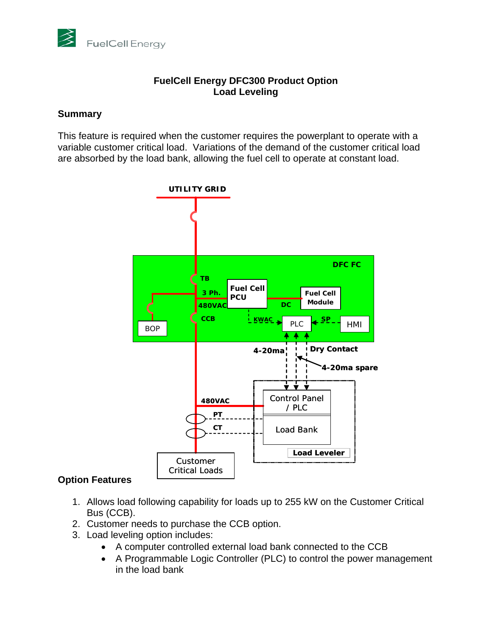

### **FuelCell Energy DFC300 Product Option Load Leveling**

#### **Summary**

This feature is required when the customer requires the powerplant to operate with a variable customer critical load. Variations of the demand of the customer critical load are absorbed by the load bank, allowing the fuel cell to operate at constant load.



# **Option Features**

- 1. Allows load following capability for loads up to 255 kW on the Customer Critical Bus (CCB).
- 2. Customer needs to purchase the CCB option.
- 3. Load leveling option includes:
	- A computer controlled external load bank connected to the CCB
	- A Programmable Logic Controller (PLC) to control the power management in the load bank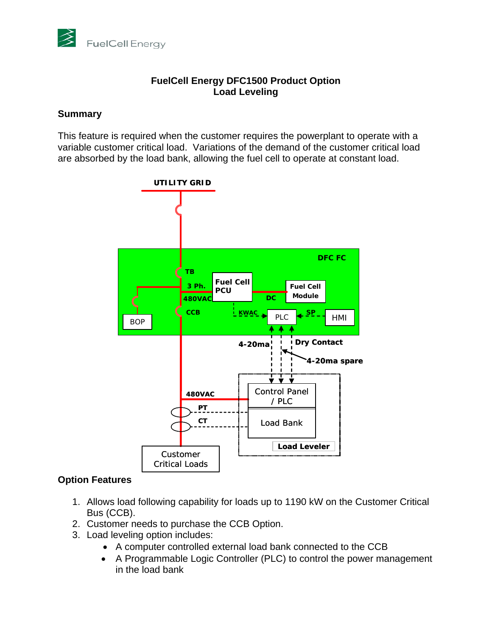

### **FuelCell Energy DFC1500 Product Option Load Leveling**

### **Summary**

This feature is required when the customer requires the powerplant to operate with a variable customer critical load. Variations of the demand of the customer critical load are absorbed by the load bank, allowing the fuel cell to operate at constant load.



# **Option Features**

- 1. Allows load following capability for loads up to 1190 kW on the Customer Critical Bus (CCB).
- 2. Customer needs to purchase the CCB Option.
- 3. Load leveling option includes:
	- A computer controlled external load bank connected to the CCB
	- A Programmable Logic Controller (PLC) to control the power management in the load bank